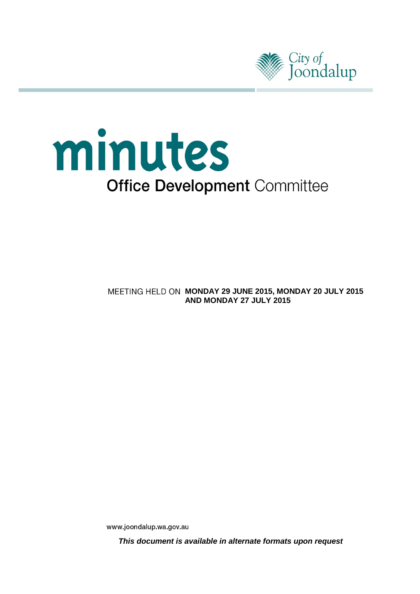

# minutes **Office Development Committee**

**MEETING HELD ON MONDAY 29 JUNE 2015, MONDAY 20 JULY 2015 AND MONDAY 27 JULY 2015**

www.joondalup.wa.gov.au

**This document is available in alternate formats upon request**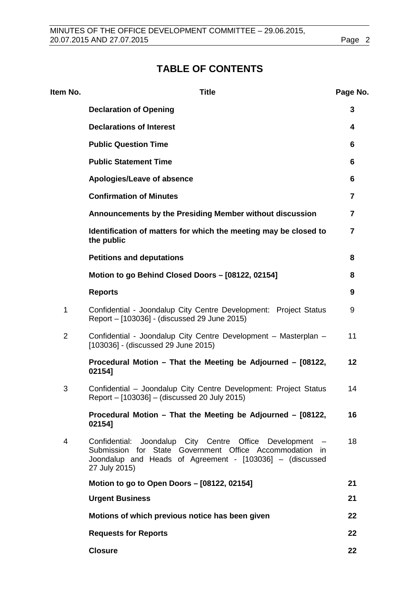# **TABLE OF CONTENTS**

| Item No.       | <b>Title</b>                                                                                                                                                                                      | Page No. |
|----------------|---------------------------------------------------------------------------------------------------------------------------------------------------------------------------------------------------|----------|
|                | <b>Declaration of Opening</b>                                                                                                                                                                     | 3        |
|                | <b>Declarations of Interest</b>                                                                                                                                                                   | 4        |
|                | <b>Public Question Time</b>                                                                                                                                                                       | 6        |
|                | <b>Public Statement Time</b>                                                                                                                                                                      | 6        |
|                | Apologies/Leave of absence                                                                                                                                                                        | 6        |
|                | <b>Confirmation of Minutes</b>                                                                                                                                                                    | 7        |
|                | Announcements by the Presiding Member without discussion                                                                                                                                          | 7        |
|                | Identification of matters for which the meeting may be closed to<br>the public                                                                                                                    | 7        |
|                | <b>Petitions and deputations</b>                                                                                                                                                                  | 8        |
|                | Motion to go Behind Closed Doors - [08122, 02154]                                                                                                                                                 | 8        |
|                | <b>Reports</b>                                                                                                                                                                                    | 9        |
| 1              | Confidential - Joondalup City Centre Development: Project Status<br>Report - [103036] - (discussed 29 June 2015)                                                                                  | 9        |
| $\overline{2}$ | Confidential - Joondalup City Centre Development - Masterplan -<br>[103036] - (discussed 29 June 2015)                                                                                            | 11       |
|                | Procedural Motion - That the Meeting be Adjourned - [08122,<br>02154]                                                                                                                             | 12       |
| 3              | Confidential - Joondalup City Centre Development: Project Status<br>Report - [103036] - (discussed 20 July 2015)                                                                                  | 14       |
|                | Procedural Motion - That the Meeting be Adjourned - [08122,<br>02154]                                                                                                                             | 16       |
| 4              | Joondalup City Centre Office Development<br>Confidential:<br>Submission for State Government Office Accommodation in<br>Joondalup and Heads of Agreement - [103036] - (discussed<br>27 July 2015) | 18       |
|                | Motion to go to Open Doors - [08122, 02154]                                                                                                                                                       | 21       |
|                | <b>Urgent Business</b>                                                                                                                                                                            | 21       |
|                | Motions of which previous notice has been given                                                                                                                                                   | 22       |
|                | <b>Requests for Reports</b>                                                                                                                                                                       | 22       |
|                | <b>Closure</b>                                                                                                                                                                                    | 22       |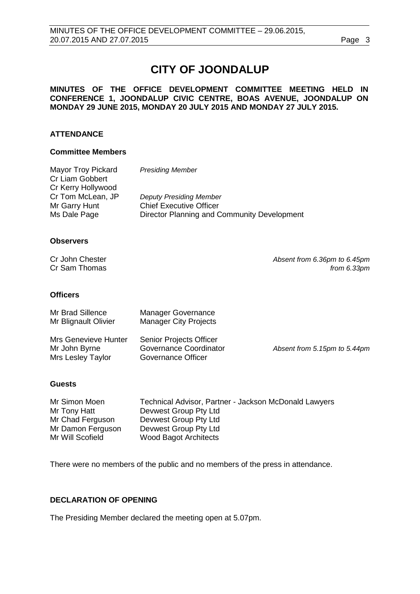# **CITY OF JOONDALUP**

#### **MINUTES OF THE OFFICE DEVELOPMENT COMMITTEE MEETING HELD IN CONFERENCE 1, JOONDALUP CIVIC CENTRE, BOAS AVENUE, JOONDALUP ON MONDAY 29 JUNE 2015, MONDAY 20 JULY 2015 AND MONDAY 27 JULY 2015.**

#### **ATTENDANCE**

#### **Committee Members**

| Mayor Troy Pickard | <b>Presiding Member</b>                     |
|--------------------|---------------------------------------------|
| Cr Liam Gobbert    |                                             |
| Cr Kerry Hollywood |                                             |
| Cr Tom McLean, JP  | <b>Deputy Presiding Member</b>              |
| Mr Garry Hunt      | <b>Chief Executive Officer</b>              |
| Ms Dale Page       | Director Planning and Community Development |

#### **Observers**

|  | Cr John Chester |
|--|-----------------|
|  | Cr Sam Thomas   |

Absent from 6.36pm to 6.45pm from 6.33pm

#### **Officers**

| Mr Brad Sillence<br>Mr Blignault Olivier                   | <b>Manager Governance</b><br><b>Manager City Projects</b>                      |                              |
|------------------------------------------------------------|--------------------------------------------------------------------------------|------------------------------|
| Mrs Genevieve Hunter<br>Mr John Byrne<br>Mrs Lesley Taylor | <b>Senior Projects Officer</b><br>Governance Coordinator<br>Governance Officer | Absent from 5.15pm to 5.44pm |

#### **Guests**

| Technical Advisor, Partner - Jackson McDonald Lawyers |
|-------------------------------------------------------|
| Devwest Group Pty Ltd                                 |
| Devwest Group Pty Ltd                                 |
| Devwest Group Pty Ltd                                 |
| <b>Wood Bagot Architects</b>                          |
|                                                       |

There were no members of the public and no members of the press in attendance.

#### <span id="page-2-0"></span>**DECLARATION OF OPENING**

The Presiding Member declared the meeting open at 5.07pm.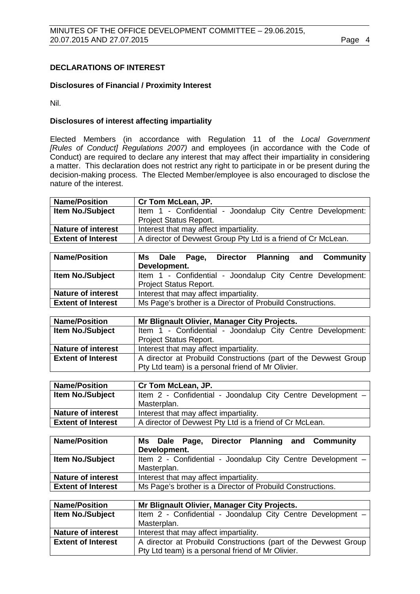#### <span id="page-3-0"></span>**DECLARATIONS OF INTEREST**

#### **Disclosures of Financial / Proximity Interest**

Nil.

#### **Disclosures of interest affecting impartiality**

Elected Members (in accordance with Regulation 11 of the *Local Government [Rules of Conduct] Regulations 2007)* and employees (in accordance with the Code of Conduct) are required to declare any interest that may affect their impartiality in considering a matter. This declaration does not restrict any right to participate in or be present during the decision-making process. The Elected Member/employee is also encouraged to disclose the nature of the interest.

| <b>Name/Position</b>      | Cr Tom McLean, JP.                                            |  |
|---------------------------|---------------------------------------------------------------|--|
| <b>Item No./Subject</b>   | Item 1 - Confidential - Joondalup City Centre Development:    |  |
|                           | <b>Project Status Report.</b>                                 |  |
| <b>Nature of interest</b> | Interest that may affect impartiality.                        |  |
| <b>Extent of Interest</b> | A director of Devwest Group Pty Ltd is a friend of Cr McLean. |  |
|                           |                                                               |  |

| <b>Name/Position</b>      | Ms Dale Page, Director Planning and Community              |  |
|---------------------------|------------------------------------------------------------|--|
|                           | Development.                                               |  |
| <b>Item No./Subject</b>   | Item 1 - Confidential - Joondalup City Centre Development: |  |
|                           | <b>Project Status Report.</b>                              |  |
| <b>Nature of interest</b> | Interest that may affect impartiality.                     |  |
| <b>Extent of Interest</b> | Ms Page's brother is a Director of Probuild Constructions. |  |

| <b>Name/Position</b>      | Mr Blignault Olivier, Manager City Projects.                    |  |
|---------------------------|-----------------------------------------------------------------|--|
| <b>Item No./Subject</b>   | Item 1 - Confidential - Joondalup City Centre Development:      |  |
|                           | <b>Project Status Report.</b>                                   |  |
| <b>Nature of interest</b> | Interest that may affect impartiality.                          |  |
| <b>Extent of Interest</b> | A director at Probuild Constructions (part of the Devwest Group |  |
|                           | Pty Ltd team) is a personal friend of Mr Olivier.               |  |

| <b>Name/Position</b>      | Cr Tom McLean, JP.                                          |  |
|---------------------------|-------------------------------------------------------------|--|
| <b>Item No./Subject</b>   | Item 2 - Confidential - Joondalup City Centre Development - |  |
|                           | Masterplan.                                                 |  |
| <b>Nature of interest</b> | Interest that may affect impartiality.                      |  |
| <b>Extent of Interest</b> | A director of Devwest Pty Ltd is a friend of Cr McLean.     |  |
|                           |                                                             |  |

| <b>Name/Position</b>      | Ms Dale Page, Director Planning and Community<br>Development.              |  |
|---------------------------|----------------------------------------------------------------------------|--|
| Item No./Subject          | Item 2 - Confidential - Joondalup City Centre Development -<br>Masterplan. |  |
| <b>Nature of interest</b> | Interest that may affect impartiality.                                     |  |
| <b>Extent of Interest</b> | Ms Page's brother is a Director of Probuild Constructions.                 |  |

| <b>Name/Position</b>      | Mr Blignault Olivier, Manager City Projects.                    |
|---------------------------|-----------------------------------------------------------------|
| <b>Item No./Subject</b>   | Item 2 - Confidential - Joondalup City Centre Development -     |
|                           | Masterplan.                                                     |
| <b>Nature of interest</b> | Interest that may affect impartiality.                          |
| <b>Extent of Interest</b> | A director at Probuild Constructions (part of the Devwest Group |
|                           | Pty Ltd team) is a personal friend of Mr Olivier.               |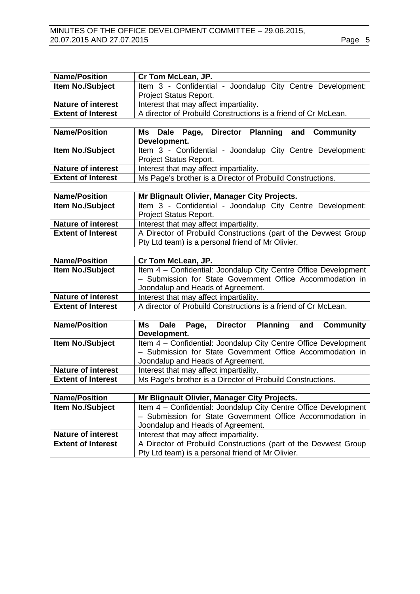| <b>Name/Position</b>      | Cr Tom McLean, JP.                                              |
|---------------------------|-----------------------------------------------------------------|
| Item No./Subject          | Item 3 - Confidential - Joondalup City Centre Development:      |
|                           | <b>Project Status Report.</b>                                   |
| <b>Nature of interest</b> | Interest that may affect impartiality.                          |
| <b>Extent of Interest</b> | A director of Probuild Constructions is a friend of Cr McLean.  |
|                           |                                                                 |
| <b>Name/Position</b>      | Dale Page, Director Planning<br><b>Community</b><br>and<br>Ms l |
|                           | Development.                                                    |
| Item No./Subject          | Item 3 - Confidential - Joondalup City Centre Development:      |
|                           | Project Status Report.                                          |
| <b>Nature of interest</b> | Interest that may affect impartiality.                          |
| <b>Extent of Interest</b> | Ms Page's brother is a Director of Probuild Constructions.      |
|                           |                                                                 |
| <b>Name/Position</b>      | Mr Blignault Olivier, Manager City Projects.                    |
| Item No./Subject          | Item 3 - Confidential - Joondalup City Centre Development:      |
|                           | <b>Project Status Report.</b>                                   |
| <b>Nature of interest</b> | Interest that may affect impartiality.                          |
| <b>Extent of Interest</b> | A Director of Probuild Constructions (part of the Devwest Group |
|                           | Pty Ltd team) is a personal friend of Mr Olivier.               |
|                           |                                                                 |
| <b>Name/Position</b>      | Cr Tom McLean, JP.                                              |
| Itam No /Subjact          | Item A - Confidential: Joondalup City Centre Office Development |

| <b>Item No./Subject</b>   | Item 4 - Confidential: Joondalup City Centre Office Development<br>- Submission for State Government Office Accommodation in<br>Joondalup and Heads of Agreement. |  |
|---------------------------|-------------------------------------------------------------------------------------------------------------------------------------------------------------------|--|
| <b>Nature of interest</b> | Interest that may affect impartiality.                                                                                                                            |  |
| <b>Extent of Interest</b> | A director of Probuild Constructions is a friend of Cr McLean.                                                                                                    |  |

| <b>Name/Position</b>      |                                                            |  | Ms Dale Page, | <b>Director</b> |  | <b>Planning and Community</b>                                   |
|---------------------------|------------------------------------------------------------|--|---------------|-----------------|--|-----------------------------------------------------------------|
|                           | Development.                                               |  |               |                 |  |                                                                 |
| <b>Item No./Subject</b>   |                                                            |  |               |                 |  | Item 4 - Confidential: Joondalup City Centre Office Development |
|                           | - Submission for State Government Office Accommodation in  |  |               |                 |  |                                                                 |
|                           | Joondalup and Heads of Agreement.                          |  |               |                 |  |                                                                 |
| <b>Nature of interest</b> | Interest that may affect impartiality.                     |  |               |                 |  |                                                                 |
| <b>Extent of Interest</b> | Ms Page's brother is a Director of Probuild Constructions. |  |               |                 |  |                                                                 |

| <b>Name/Position</b>      | Mr Blignault Olivier, Manager City Projects.                    |  |  |  |
|---------------------------|-----------------------------------------------------------------|--|--|--|
| <b>Item No./Subject</b>   | Item 4 - Confidential: Joondalup City Centre Office Development |  |  |  |
|                           | - Submission for State Government Office Accommodation in       |  |  |  |
|                           | Joondalup and Heads of Agreement.                               |  |  |  |
| <b>Nature of interest</b> | Interest that may affect impartiality.                          |  |  |  |
| <b>Extent of Interest</b> | A Director of Probuild Constructions (part of the Devwest Group |  |  |  |
|                           | Pty Ltd team) is a personal friend of Mr Olivier.               |  |  |  |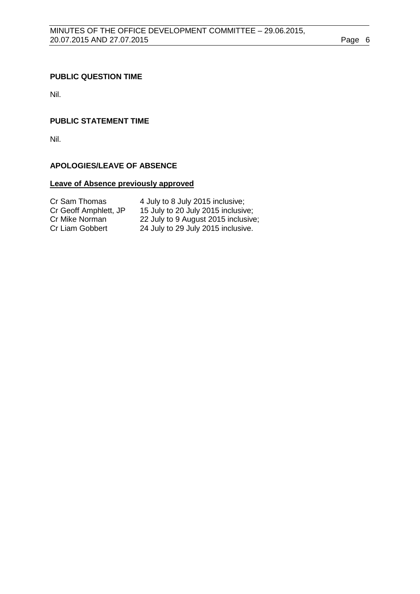#### <span id="page-5-0"></span>**PUBLIC QUESTION TIME**

Nil.

## <span id="page-5-1"></span>**PUBLIC STATEMENT TIME**

Nil.

#### <span id="page-5-2"></span>**APOLOGIES/LEAVE OF ABSENCE**

## **Leave of Absence previously approved**

| Cr Sam Thomas         | 4 July to 8 July 2015 inclusive;    |
|-----------------------|-------------------------------------|
| Cr Geoff Amphlett, JP | 15 July to 20 July 2015 inclusive;  |
| Cr Mike Norman        | 22 July to 9 August 2015 inclusive; |
| Cr Liam Gobbert       | 24 July to 29 July 2015 inclusive.  |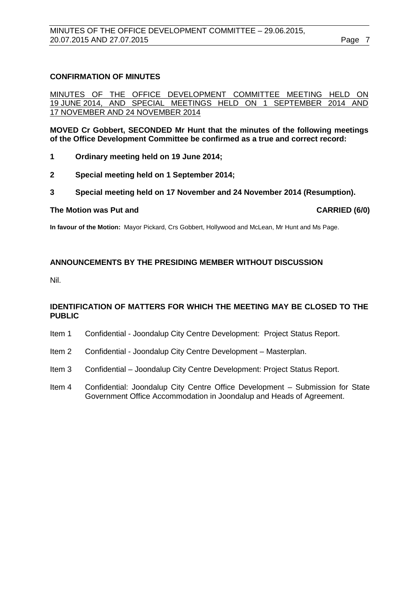#### <span id="page-6-0"></span>**CONFIRMATION OF MINUTES**

MINUTES OF THE OFFICE DEVELOPMENT COMMITTEE MEETING HELD ON 1 JUNE 2014 AND SPECIAL MEETINGS HELD ON 1 SEPTEMBER 2014 AND AND SPECIAL MEETINGS HELD ON 1 17 NOVEMBER AND 24 NOVEMBER 2014

**MOVED Cr Gobbert, SECONDED Mr Hunt that the minutes of the following meetings of the Office Development Committee be confirmed as a true and correct record:**

- **1 Ordinary meeting held on 19 June 2014;**
- **2 Special meeting held on 1 September 2014;**
- **3 Special meeting held on 17 November and 24 November 2014 (Resumption).**

#### **The Motion was Put and CARRIED (6/0)**

**In favour of the Motion:** Mayor Pickard, Crs Gobbert, Hollywood and McLean, Mr Hunt and Ms Page.

#### <span id="page-6-1"></span>**ANNOUNCEMENTS BY THE PRESIDING MEMBER WITHOUT DISCUSSION**

Nil.

#### <span id="page-6-2"></span>**IDENTIFICATION OF MATTERS FOR WHICH THE MEETING MAY BE CLOSED TO THE PUBLIC**

- Item 1 Confidential Joondalup City Centre Development: Project Status Report.
- Item 2 Confidential Joondalup City Centre Development Masterplan.
- Item 3 Confidential Joondalup City Centre Development: Project Status Report.
- Item 4 Confidential: Joondalup City Centre Office Development Submission for State Government Office Accommodation in Joondalup and Heads of Agreement.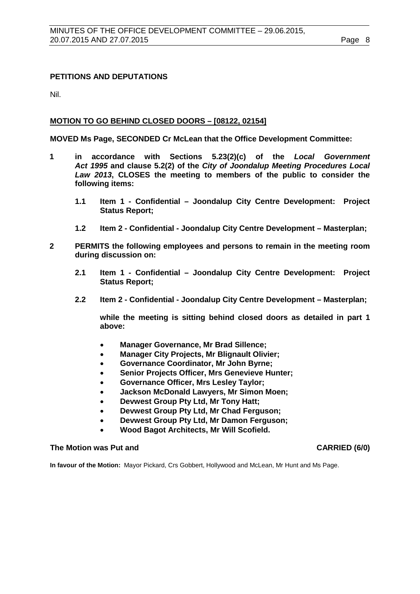#### <span id="page-7-0"></span>**PETITIONS AND DEPUTATIONS**

Nil.

#### <span id="page-7-1"></span>**MOTION TO GO BEHIND CLOSED DOORS – [08122, 02154]**

**MOVED Ms Page, SECONDED Cr McLean that the Office Development Committee:**

- **1 in accordance with Sections 5.23(2)(c) of the** *Local Government Act 1995* **and clause 5.2(2) of the** *City of Joondalup Meeting Procedures Local Law 2013***, CLOSES the meeting to members of the public to consider the following items:** 
	- **1.1 Item 1 - Confidential – Joondalup City Centre Development: Project Status Report;**
	- **1.2 Item 2 - Confidential - Joondalup City Centre Development – Masterplan;**
- **2 PERMITS the following employees and persons to remain in the meeting room during discussion on:**
	- **2.1 Item 1 - Confidential – Joondalup City Centre Development: Project Status Report;**
	- **2.2 Item 2 - Confidential - Joondalup City Centre Development – Masterplan;**

**while the meeting is sitting behind closed doors as detailed in part 1 above:**

- **Manager Governance, Mr Brad Sillence;**
- **Manager City Projects, Mr Blignault Olivier;**
- **Governance Coordinator, Mr John Byrne;**
- **Senior Projects Officer, Mrs Genevieve Hunter;**
- **Governance Officer, Mrs Lesley Taylor;**
- **Jackson McDonald Lawyers, Mr Simon Moen;**
- **Devwest Group Pty Ltd, Mr Tony Hatt;**
- **Devwest Group Pty Ltd, Mr Chad Ferguson;**
- **Devwest Group Pty Ltd, Mr Damon Ferguson;**
- **Wood Bagot Architects, Mr Will Scofield.**

#### **The Motion was Put and CARRIED (6/0)**

**In favour of the Motion:** Mayor Pickard, Crs Gobbert, Hollywood and McLean, Mr Hunt and Ms Page.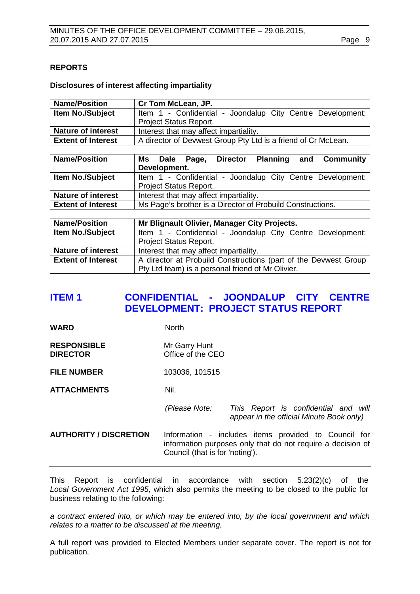#### <span id="page-8-0"></span>**REPORTS**

#### **Disclosures of interest affecting impartiality**

| <b>Name/Position</b>      | Cr Tom McLean, JP.                                            |  |  |
|---------------------------|---------------------------------------------------------------|--|--|
| <b>Item No./Subject</b>   | Item 1 - Confidential - Joondalup City Centre Development:    |  |  |
|                           | <b>Project Status Report.</b>                                 |  |  |
| <b>Nature of interest</b> | Interest that may affect impartiality.                        |  |  |
| <b>Extent of Interest</b> | A director of Devwest Group Pty Ltd is a friend of Cr McLean. |  |  |

| <b>Name/Position</b>      | Ms Dale Page,<br>Development.                              |  | <b>Director</b> | Planning | and Community                                              |
|---------------------------|------------------------------------------------------------|--|-----------------|----------|------------------------------------------------------------|
| <b>Item No./Subject</b>   |                                                            |  |                 |          | Item 1 - Confidential - Joondalup City Centre Development: |
|                           | <b>Project Status Report.</b>                              |  |                 |          |                                                            |
| <b>Nature of interest</b> | Interest that may affect impartiality.                     |  |                 |          |                                                            |
| <b>Extent of Interest</b> | Ms Page's brother is a Director of Probuild Constructions. |  |                 |          |                                                            |

| <b>Name/Position</b>      | Mr Blignault Olivier, Manager City Projects.                    |  |
|---------------------------|-----------------------------------------------------------------|--|
| <b>Item No./Subject</b>   | Item 1 - Confidential - Joondalup City Centre Development:      |  |
|                           | <b>Project Status Report.</b>                                   |  |
| <b>Nature of interest</b> | Interest that may affect impartiality.                          |  |
| <b>Extent of Interest</b> | A director at Probuild Constructions (part of the Devwest Group |  |
|                           | Pty Ltd team) is a personal friend of Mr Olivier.               |  |

# <span id="page-8-1"></span>**ITEM 1 CONFIDENTIAL - JOONDALUP CITY CENTRE DEVELOPMENT: PROJECT STATUS REPORT**

WARD North

| <b>RESPONSIBLE</b> | Mr Garry Hunt     |
|--------------------|-------------------|
| <b>DIRECTOR</b>    | Office of the CEO |

**FILE NUMBER** 103036, 101515

**ATTACHMENTS** Nil.

*(Please Note: This Report is confidential and will appear in the official Minute Book only)*

**AUTHORITY / DISCRETION** Information - includes items provided to Council for information purposes only that do not require a decision of Council (that is for 'noting').

This Report is confidential in accordance with section 5.23(2)(c) of the *Local Government Act 1995*, which also permits the meeting to be closed to the public for business relating to the following:

*a contract entered into, or which may be entered into, by the local government and which relates to a matter to be discussed at the meeting.*

A full report was provided to Elected Members under separate cover. The report is not for publication.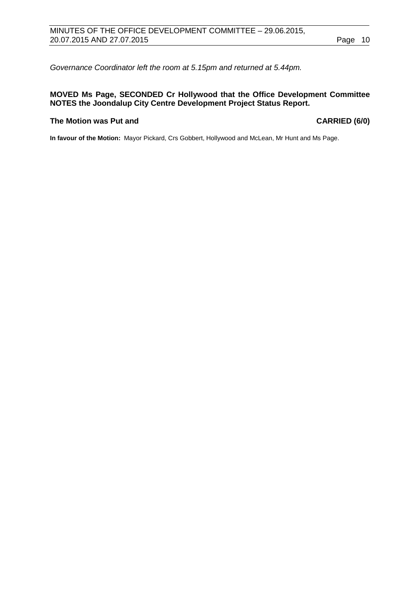*Governance Coordinator left the room at 5.15pm and returned at 5.44pm.*

#### **MOVED Ms Page, SECONDED Cr Hollywood that the Office Development Committee NOTES the Joondalup City Centre Development Project Status Report.**

#### **The Motion was Put and CARRIED (6/0)**

**In favour of the Motion:** Mayor Pickard, Crs Gobbert, Hollywood and McLean, Mr Hunt and Ms Page.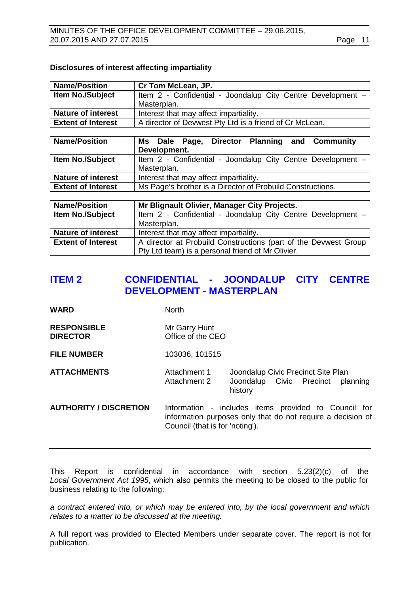#### **Disclosures of interest affecting impartiality**

| <b>Name/Position</b>      | Cr Tom McLean, JP.                                          |  |  |
|---------------------------|-------------------------------------------------------------|--|--|
| <b>Item No./Subject</b>   | Item 2 - Confidential - Joondalup City Centre Development - |  |  |
|                           | Masterplan.                                                 |  |  |
| <b>Nature of interest</b> | Interest that may affect impartiality.                      |  |  |
| <b>Extent of Interest</b> | A director of Devwest Pty Ltd is a friend of Cr McLean.     |  |  |
|                           |                                                             |  |  |
| <b>Name/Position</b>      | Director Planning and Community<br>Ms Dale Page,            |  |  |
|                           | Development.                                                |  |  |
| Item No./Subject          | Item 2 - Confidential - Joondalup City Centre Development - |  |  |
|                           | Masterplan.                                                 |  |  |
| <b>Nature of interest</b> | Interest that may affect impartiality.                      |  |  |
| <b>Extent of Interest</b> | Ms Page's brother is a Director of Probuild Constructions.  |  |  |
|                           |                                                             |  |  |
| <b>Name/Position</b>      | Mr Blignault Olivier, Manager City Projects.                |  |  |
| Item No./Subject          | Item 2 - Confidential - Joondalup City Centre Development - |  |  |
|                           | Masterplan.                                                 |  |  |
| Nature of interest        | Interest that may affect impartiality                       |  |  |

| ו ואמנעו כי טו ווונפו כאנ | $\overline{\phantom{a}}$ interest that may affect impartially.  |
|---------------------------|-----------------------------------------------------------------|
| <b>Extent of Interest</b> | A director at Probuild Constructions (part of the Devwest Group |
|                           | Pty Ltd team) is a personal friend of Mr Olivier.               |
|                           |                                                                 |

# <span id="page-10-0"></span>**ITEM 2 CONFIDENTIAL - JOONDALUP CITY CENTRE DEVELOPMENT - MASTERPLAN**

**WARD** North

#### **RESPONSIBLE** Mr Garry Hunt<br> **DIRECTOR** Office of the C **Diffice of the CEO**

**FILE NUMBER** 103036, 101515

**ATTACHMENTS** Attachment 1 Joondalup Civic Precinct Site Plan<br>Attachment 2 Joondalup Civic Precinct pla Joondalup Civic Precinct planning history

**AUTHORITY / DISCRETION** Information - includes items provided to Council for information purposes only that do not require a decision of Council (that is for 'noting').

This Report is confidential in accordance with section 5.23(2)(c) of the *Local Government Act 1995*, which also permits the meeting to be closed to the public for business relating to the following:

*a contract entered into, or which may be entered into, by the local government and which relates to a matter to be discussed at the meeting.*

A full report was provided to Elected Members under separate cover. The report is not for publication.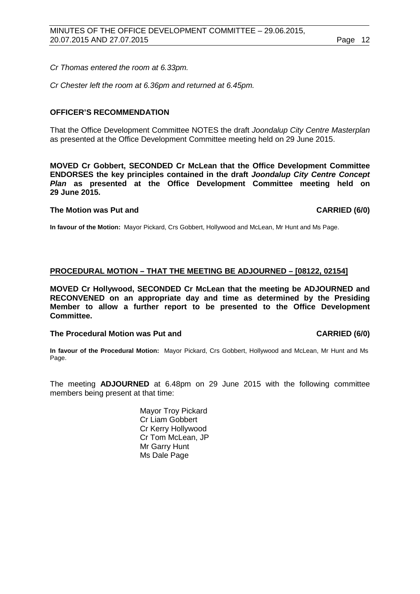*Cr Thomas entered the room at 6.33pm.*

*Cr Chester left the room at 6.36pm and returned at 6.45pm.*

#### **OFFICER'S RECOMMENDATION**

That the Office Development Committee NOTES the draft *Joondalup City Centre Masterplan* as presented at the Office Development Committee meeting held on 29 June 2015.

**MOVED Cr Gobbert, SECONDED Cr McLean that the Office Development Committee ENDORSES the key principles contained in the draft** *Joondalup City Centre Concept Plan* **as presented at the Office Development Committee meeting held on 29 June 2015.**

#### **The Motion was Put and CARRIED (6/0)**

**In favour of the Motion:** Mayor Pickard, Crs Gobbert, Hollywood and McLean, Mr Hunt and Ms Page.

#### <span id="page-11-0"></span>**PROCEDURAL MOTION – THAT THE MEETING BE ADJOURNED – [08122, 02154]**

**MOVED Cr Hollywood, SECONDED Cr McLean that the meeting be ADJOURNED and RECONVENED on an appropriate day and time as determined by the Presiding Member to allow a further report to be presented to the Office Development Committee.**

#### The Procedural Motion was Put and **CARRIED (6/0)**

**In favour of the Procedural Motion:** Mayor Pickard, Crs Gobbert, Hollywood and McLean, Mr Hunt and Ms Page.

The meeting **ADJOURNED** at 6.48pm on 29 June 2015 with the following committee members being present at that time:

> Mayor Troy Pickard Cr Liam Gobbert Cr Kerry Hollywood Cr Tom McLean, JP Mr Garry Hunt Ms Dale Page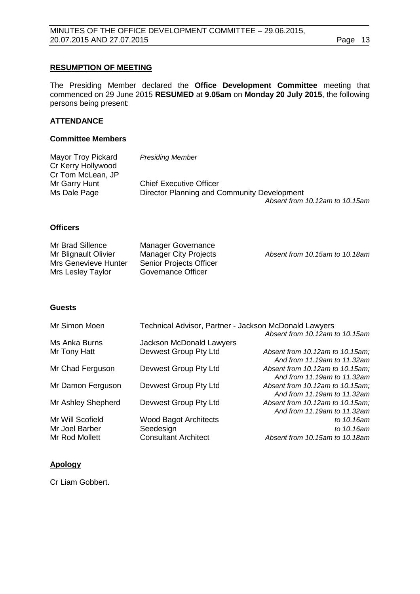#### **RESUMPTION OF MEETING**

The Presiding Member declared the **Office Development Committee** meeting that commenced on 29 June 2015 **RESUMED** at **9.05am** on **Monday 20 July 2015**, the following persons being present:

#### **ATTENDANCE**

#### **Committee Members**

| Mayor Troy Pickard | <b>Presiding Member</b>                     |
|--------------------|---------------------------------------------|
| Cr Kerry Hollywood |                                             |
| Cr Tom McLean, JP  |                                             |
| Mr Garry Hunt      | <b>Chief Executive Officer</b>              |
| Ms Dale Page       | Director Planning and Community Development |
|                    | Absent from 10.12am to 10.15am              |

#### **Officers**

| Mr Brad Sillence     | Manager Governance           |                                |
|----------------------|------------------------------|--------------------------------|
| Mr Blignault Olivier | <b>Manager City Projects</b> | Absent from 10.15am to 10.18am |
| Mrs Genevieve Hunter | Senior Projects Officer      |                                |
| Mrs Lesley Taylor    | Governance Officer           |                                |

#### **Guests**

| Mr Simon Moen      | Technical Advisor, Partner - Jackson McDonald Lawyers |                                                                |  |
|--------------------|-------------------------------------------------------|----------------------------------------------------------------|--|
|                    |                                                       | Absent from 10.12am to 10.15am                                 |  |
| Ms Anka Burns      | Jackson McDonald Lawyers                              |                                                                |  |
| Mr Tony Hatt       | Devwest Group Pty Ltd                                 | Absent from 10.12am to 10.15am;<br>And from 11.19am to 11.32am |  |
| Mr Chad Ferguson   | Devwest Group Pty Ltd                                 | Absent from 10.12am to 10.15am;                                |  |
|                    |                                                       | And from 11.19am to 11.32am                                    |  |
| Mr Damon Ferguson  | Devwest Group Pty Ltd                                 | Absent from 10.12am to 10.15am;                                |  |
|                    |                                                       | And from 11.19am to 11.32am                                    |  |
| Mr Ashley Shepherd | Devwest Group Pty Ltd                                 | Absent from 10.12am to 10.15am;                                |  |
|                    |                                                       | And from 11.19am to 11.32am                                    |  |
| Mr Will Scofield   | <b>Wood Bagot Architects</b>                          | to 10.16am                                                     |  |
| Mr Joel Barber     | Seedesign                                             | to 10.16am                                                     |  |
| Mr Rod Mollett     | <b>Consultant Architect</b>                           | Absent from 10.15am to 10.18am                                 |  |

#### **Apology**

Cr Liam Gobbert.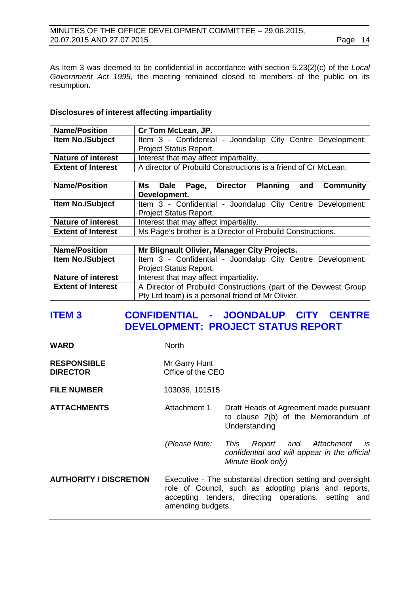#### MINUTES OF THE OFFICE DEVELOPMENT COMMITTEE – 29.06.2015, 20.07.2015 AND 27.07.2015 Page 14

As Item 3 was deemed to be confidential in accordance with section 5.23(2)(c) of the *Local Government Act 1995,* the meeting remained closed to members of the public on its resumption.

#### **Disclosures of interest affecting impartiality**

| <b>Name/Position</b>      | Cr Tom McLean, JP.                                             |  |  |
|---------------------------|----------------------------------------------------------------|--|--|
| <b>Item No./Subject</b>   | Item 3 - Confidential - Joondalup City Centre Development:     |  |  |
|                           | <b>Project Status Report.</b>                                  |  |  |
| <b>Nature of interest</b> | Interest that may affect impartiality.                         |  |  |
| <b>Extent of Interest</b> | A director of Probuild Constructions is a friend of Cr McLean. |  |  |

| <b>Name/Position</b>      | Ms Dale Page,                                              |  | <b>Director</b>                        | <b>Planning</b> | and Community                                              |
|---------------------------|------------------------------------------------------------|--|----------------------------------------|-----------------|------------------------------------------------------------|
|                           | Development.                                               |  |                                        |                 |                                                            |
| <b>Item No./Subject</b>   |                                                            |  |                                        |                 | Item 3 - Confidential - Joondalup City Centre Development: |
|                           | <b>Project Status Report.</b>                              |  |                                        |                 |                                                            |
| <b>Nature of interest</b> |                                                            |  | Interest that may affect impartiality. |                 |                                                            |
| <b>Extent of Interest</b> | Ms Page's brother is a Director of Probuild Constructions. |  |                                        |                 |                                                            |

| <b>Name/Position</b>      | Mr Blignault Olivier, Manager City Projects.                    |
|---------------------------|-----------------------------------------------------------------|
| <b>Item No./Subject</b>   | Item 3 - Confidential - Joondalup City Centre Development:      |
|                           | <b>Project Status Report.</b>                                   |
| <b>Nature of interest</b> | Interest that may affect impartiality.                          |
| <b>Extent of Interest</b> | A Director of Probuild Constructions (part of the Devwest Group |
|                           | Pty Ltd team) is a personal friend of Mr Olivier.               |

# <span id="page-13-0"></span>**ITEM 3 CONFIDENTIAL - JOONDALUP CITY CENTRE DEVELOPMENT: PROJECT STATUS REPORT**

| <b>RESPONSIBLE</b> | Mr Garry Hunt     |
|--------------------|-------------------|
| <b>DIRECTOR</b>    | Office of the CEO |

WARD North

**FILE NUMBER** 103036, 101515

- **ATTACHMENTS** Attachment 1 Draft Heads of Agreement made pursuant to clause 2(b) of the Memorandum of Understanding
	- *(Please Note: This Report and Attachment is confidential and will appear in the official Minute Book only)*
- **AUTHORITY / DISCRETION** Executive The substantial direction setting and oversight role of Council, such as adopting plans and reports, accepting tenders, directing operations, setting and amending budgets.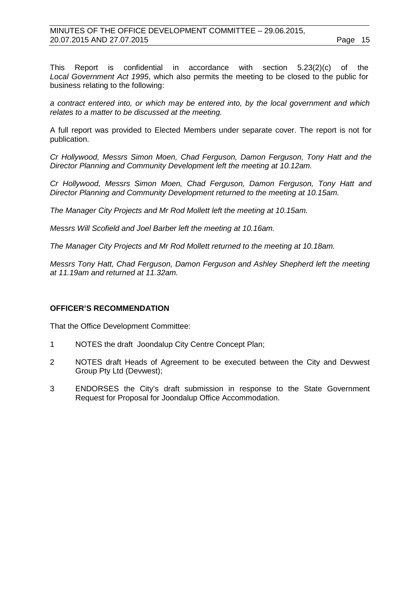This Report is confidential in accordance with section 5.23(2)(c) of the *Local Government Act 1995*, which also permits the meeting to be closed to the public for business relating to the following:

*a contract entered into, or which may be entered into, by the local government and which relates to a matter to be discussed at the meeting.*

A full report was provided to Elected Members under separate cover. The report is not for publication.

*Cr Hollywood, Messrs Simon Moen, Chad Ferguson, Damon Ferguson, Tony Hatt and the Director Planning and Community Development left the meeting at 10.12am.*

*Cr Hollywood, Messrs Simon Moen, Chad Ferguson, Damon Ferguson, Tony Hatt and Director Planning and Community Development returned to the meeting at 10.15am.*

*The Manager City Projects and Mr Rod Mollett left the meeting at 10.15am.*

*Messrs Will Scofield and Joel Barber left the meeting at 10.16am.*

*The Manager City Projects and Mr Rod Mollett returned to the meeting at 10.18am.*

*Messrs Tony Hatt, Chad Ferguson, Damon Ferguson and Ashley Shepherd left the meeting at 11.19am and returned at 11.32am.*

#### **OFFICER'S RECOMMENDATION**

That the Office Development Committee:

- 1 NOTES the draft Joondalup City Centre Concept Plan;
- 2 NOTES draft Heads of Agreement to be executed between the City and Devwest Group Pty Ltd (Devwest);
- 3 ENDORSES the City's draft submission in response to the State Government Request for Proposal for Joondalup Office Accommodation.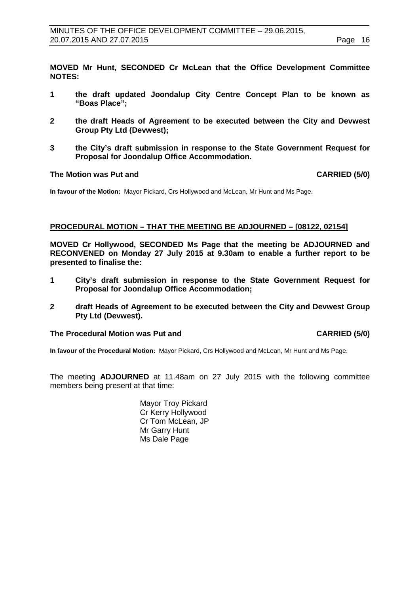**MOVED Mr Hunt, SECONDED Cr McLean that the Office Development Committee NOTES:**

- **1 the draft updated Joondalup City Centre Concept Plan to be known as "Boas Place";**
- **2 the draft Heads of Agreement to be executed between the City and Devwest Group Pty Ltd (Devwest);**
- **3 the City's draft submission in response to the State Government Request for Proposal for Joondalup Office Accommodation.**

#### **The Motion was Put and CARRIED (5/0)**

**In favour of the Motion:** Mayor Pickard, Crs Hollywood and McLean, Mr Hunt and Ms Page.

#### <span id="page-15-0"></span>**PROCEDURAL MOTION – THAT THE MEETING BE ADJOURNED – [08122, 02154]**

**MOVED Cr Hollywood, SECONDED Ms Page that the meeting be ADJOURNED and RECONVENED on Monday 27 July 2015 at 9.30am to enable a further report to be presented to finalise the:**

- **1 City's draft submission in response to the State Government Request for Proposal for Joondalup Office Accommodation;**
- **2 draft Heads of Agreement to be executed between the City and Devwest Group Pty Ltd (Devwest).**

#### The Procedural Motion was Put and **CARRIED** (5/0)

**In favour of the Procedural Motion:** Mayor Pickard, Crs Hollywood and McLean, Mr Hunt and Ms Page.

The meeting **ADJOURNED** at 11.48am on 27 July 2015 with the following committee members being present at that time:

> Mayor Troy Pickard Cr Kerry Hollywood Cr Tom McLean, JP Mr Garry Hunt Ms Dale Page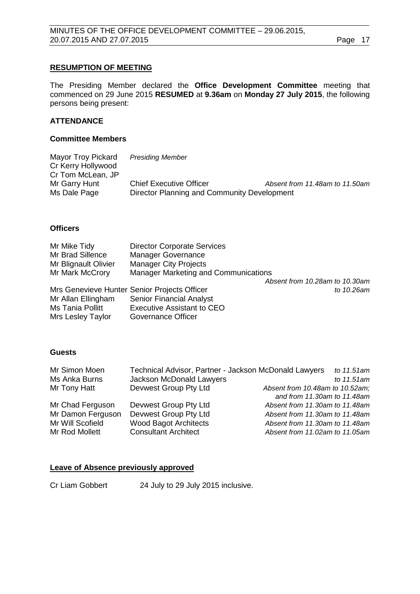#### **RESUMPTION OF MEETING**

The Presiding Member declared the **Office Development Committee** meeting that commenced on 29 June 2015 **RESUMED** at **9.36am** on **Monday 27 July 2015**, the following persons being present:

#### **ATTENDANCE**

#### **Committee Members**

| Mayor Troy Pickard | <b>Presiding Member</b>                     |                                |
|--------------------|---------------------------------------------|--------------------------------|
| Cr Kerry Hollywood |                                             |                                |
| Cr Tom McLean, JP  |                                             |                                |
| Mr Garry Hunt      | <b>Chief Executive Officer</b>              | Absent from 11.48am to 11.50am |
| Ms Dale Page       | Director Planning and Community Development |                                |
|                    |                                             |                                |

#### **Officers**

| Mr Mike Tidy         | <b>Director Corporate Services</b>           |                                |
|----------------------|----------------------------------------------|--------------------------------|
| Mr Brad Sillence     | <b>Manager Governance</b>                    |                                |
| Mr Blignault Olivier | <b>Manager City Projects</b>                 |                                |
| Mr Mark McCrory      | Manager Marketing and Communications         |                                |
|                      |                                              | Absent from 10.28am to 10.30am |
|                      | Mrs Genevieve Hunter Senior Projects Officer | to 10.26am                     |
| Mr Allan Ellingham   | <b>Senior Financial Analyst</b>              |                                |
| Ms Tania Pollitt     | <b>Executive Assistant to CEO</b>            |                                |
| Mrs Lesley Taylor    | Governance Officer                           |                                |

#### **Guests**

| Mr Simon Moen     | Technical Advisor, Partner - Jackson McDonald Lawyers | to 11.51am                      |
|-------------------|-------------------------------------------------------|---------------------------------|
| Ms Anka Burns     | Jackson McDonald Lawyers                              | to 11.51am                      |
| Mr Tony Hatt      | Devwest Group Pty Ltd                                 | Absent from 10.48am to 10.52am; |
|                   |                                                       | and from 11.30am to 11.48am     |
| Mr Chad Ferguson  | Devwest Group Pty Ltd                                 | Absent from 11.30am to 11.48am  |
| Mr Damon Ferguson | Devwest Group Pty Ltd                                 | Absent from 11.30am to 11.48am  |
| Mr Will Scofield  | <b>Wood Bagot Architects</b>                          | Absent from 11.30am to 11.48am  |
| Mr Rod Mollett    | <b>Consultant Architect</b>                           | Absent from 11.02am to 11.05am  |

#### **Leave of Absence previously approved**

Cr Liam Gobbert 24 July to 29 July 2015 inclusive.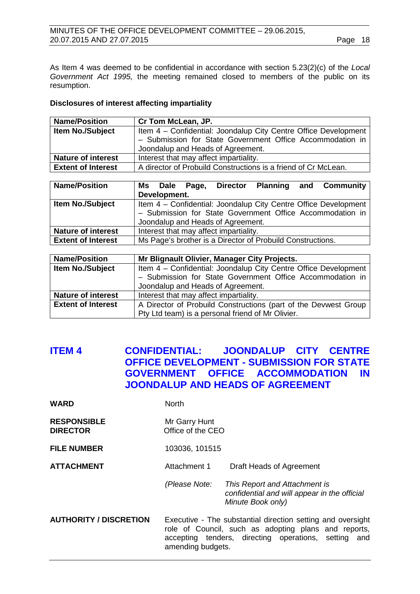#### MINUTES OF THE OFFICE DEVELOPMENT COMMITTEE – 29.06.2015, 20.07.2015 AND 27.07.2015 Page 18

As Item 4 was deemed to be confidential in accordance with section 5.23(2)(c) of the *Local Government Act 1995,* the meeting remained closed to members of the public on its resumption.

## **Disclosures of interest affecting impartiality**

| <b>Name/Position</b>      | Cr Tom McLean, JP.                                              |
|---------------------------|-----------------------------------------------------------------|
| Item No./Subject          | Item 4 - Confidential: Joondalup City Centre Office Development |
|                           | - Submission for State Government Office Accommodation in       |
|                           | Joondalup and Heads of Agreement.                               |
| <b>Nature of interest</b> | Interest that may affect impartiality.                          |
| <b>Extent of Interest</b> | A director of Probuild Constructions is a friend of Cr McLean.  |

| <b>Name/Position</b>      |                                                           |              |  | Ms Dale Page, Director            |                                                            | <b>Planning and Community</b>                                   |
|---------------------------|-----------------------------------------------------------|--------------|--|-----------------------------------|------------------------------------------------------------|-----------------------------------------------------------------|
|                           |                                                           | Development. |  |                                   |                                                            |                                                                 |
| <b>Item No./Subject</b>   |                                                           |              |  |                                   |                                                            | Item 4 - Confidential: Joondalup City Centre Office Development |
|                           | - Submission for State Government Office Accommodation in |              |  |                                   |                                                            |                                                                 |
|                           |                                                           |              |  | Joondalup and Heads of Agreement. |                                                            |                                                                 |
| <b>Nature of interest</b> | Interest that may affect impartiality.                    |              |  |                                   |                                                            |                                                                 |
| <b>Extent of Interest</b> |                                                           |              |  |                                   | Ms Page's brother is a Director of Probuild Constructions. |                                                                 |

| <b>Name/Position</b>      | Mr Blignault Olivier, Manager City Projects.                    |  |  |  |
|---------------------------|-----------------------------------------------------------------|--|--|--|
| <b>Item No./Subject</b>   | Item 4 - Confidential: Joondalup City Centre Office Development |  |  |  |
|                           | - Submission for State Government Office Accommodation in       |  |  |  |
|                           | Joondalup and Heads of Agreement.                               |  |  |  |
| <b>Nature of interest</b> | Interest that may affect impartiality.                          |  |  |  |
| <b>Extent of Interest</b> | A Director of Probuild Constructions (part of the Devwest Group |  |  |  |
|                           | Pty Ltd team) is a personal friend of Mr Olivier.               |  |  |  |

# <span id="page-17-0"></span>**ITEM 4 CONFIDENTIAL: JOONDALUP CITY CENTRE OFFICE DEVELOPMENT - SUBMISSION FOR STATE GOVERNMENT OFFICE ACCOMMODATION IN JOONDALUP AND HEADS OF AGREEMENT**

| <b>WARD</b>                           | <b>North</b>                                                                                                                                                                                     |                                                                                                    |  |
|---------------------------------------|--------------------------------------------------------------------------------------------------------------------------------------------------------------------------------------------------|----------------------------------------------------------------------------------------------------|--|
| <b>RESPONSIBLE</b><br><b>DIRECTOR</b> | Mr Garry Hunt<br>Office of the CEO                                                                                                                                                               |                                                                                                    |  |
| <b>FILE NUMBER</b>                    | 103036, 101515                                                                                                                                                                                   |                                                                                                    |  |
| <b>ATTACHMENT</b>                     | Attachment 1                                                                                                                                                                                     | Draft Heads of Agreement                                                                           |  |
|                                       | (Please Note:                                                                                                                                                                                    | This Report and Attachment is<br>confidential and will appear in the official<br>Minute Book only) |  |
| <b>AUTHORITY / DISCRETION</b>         | Executive - The substantial direction setting and oversight<br>role of Council, such as adopting plans and reports,<br>accepting tenders, directing operations, setting and<br>amending budgets. |                                                                                                    |  |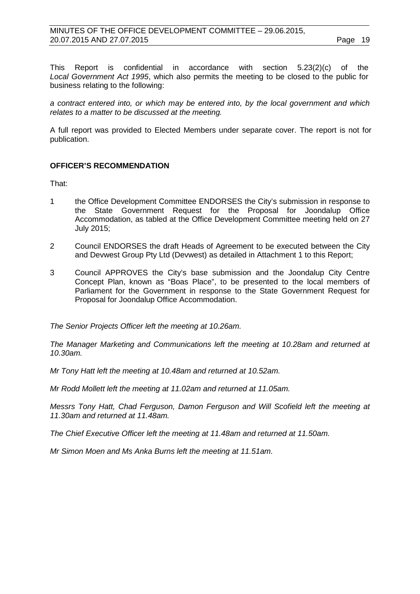This Report is confidential in accordance with section 5.23(2)(c) of the *Local Government Act 1995*, which also permits the meeting to be closed to the public for business relating to the following:

*a contract entered into, or which may be entered into, by the local government and which relates to a matter to be discussed at the meeting.*

A full report was provided to Elected Members under separate cover. The report is not for publication.

#### **OFFICER'S RECOMMENDATION**

That:

- 1 the Office Development Committee ENDORSES the City's submission in response to the State Government Request for the Proposal for Joondalup Office Accommodation, as tabled at the Office Development Committee meeting held on 27 July 2015;
- 2 Council ENDORSES the draft Heads of Agreement to be executed between the City and Devwest Group Pty Ltd (Devwest) as detailed in Attachment 1 to this Report;
- 3 Council APPROVES the City's base submission and the Joondalup City Centre Concept Plan, known as "Boas Place", to be presented to the local members of Parliament for the Government in response to the State Government Request for Proposal for Joondalup Office Accommodation.

*The Senior Projects Officer left the meeting at 10.26am.*

*The Manager Marketing and Communications left the meeting at 10.28am and returned at 10.30am.*

*Mr Tony Hatt left the meeting at 10.48am and returned at 10.52am.*

*Mr Rodd Mollett left the meeting at 11.02am and returned at 11.05am.*

*Messrs Tony Hatt, Chad Ferguson, Damon Ferguson and Will Scofield left the meeting at 11.30am and returned at 11.48am.*

*The Chief Executive Officer left the meeting at 11.48am and returned at 11.50am.*

*Mr Simon Moen and Ms Anka Burns left the meeting at 11.51am.*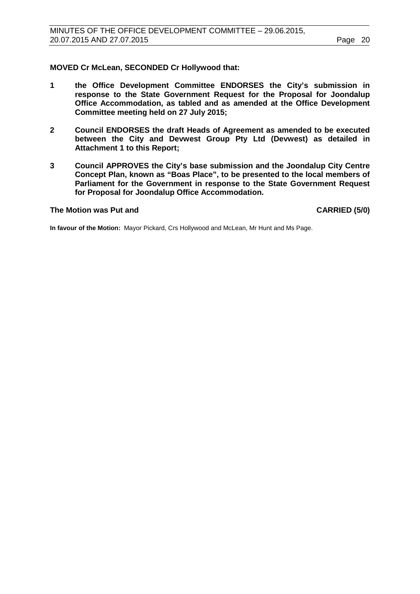#### **MOVED Cr McLean, SECONDED Cr Hollywood that:**

- **1 the Office Development Committee ENDORSES the City's submission in response to the State Government Request for the Proposal for Joondalup Office Accommodation, as tabled and as amended at the Office Development Committee meeting held on 27 July 2015;**
- **2 Council ENDORSES the draft Heads of Agreement as amended to be executed between the City and Devwest Group Pty Ltd (Devwest) as detailed in Attachment 1 to this Report;**
- **3 Council APPROVES the City's base submission and the Joondalup City Centre Concept Plan, known as "Boas Place", to be presented to the local members of Parliament for the Government in response to the State Government Request for Proposal for Joondalup Office Accommodation.**

#### The Motion was Put and **CARRIED** (5/0)

**In favour of the Motion:** Mayor Pickard, Crs Hollywood and McLean, Mr Hunt and Ms Page.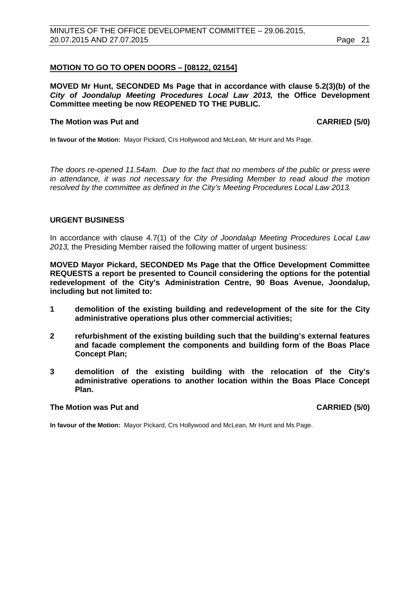#### <span id="page-20-0"></span>**MOTION TO GO TO OPEN DOORS – [08122, 02154]**

**MOVED Mr Hunt, SECONDED Ms Page that in accordance with clause 5.2(3)(b) of the**  *City of Joondalup Meeting Procedures Local Law 2013,* **the Office Development Committee meeting be now REOPENED TO THE PUBLIC.**

#### **The Motion was Put and CARRIED (5/0) CARRIED (5/0)**

**In favour of the Motion:** Mayor Pickard, Crs Hollywood and McLean, Mr Hunt and Ms Page.

*The doors re-opened 11.54am. Due to the fact that no members of the public or press were in attendance, it was not necessary for the Presiding Member to read aloud the motion resolved by the committee as defined in the City's Meeting Procedures Local Law 2013.*

#### <span id="page-20-1"></span>**URGENT BUSINESS**

In accordance with clause 4.7(1) of the *City of Joondalup Meeting Procedures Local Law 2013,* the Presiding Member raised the following matter of urgent business:

**MOVED Mayor Pickard, SECONDED Ms Page that the Office Development Committee REQUESTS a report be presented to Council considering the options for the potential redevelopment of the City's Administration Centre, 90 Boas Avenue, Joondalup, including but not limited to:**

- **1 demolition of the existing building and redevelopment of the site for the City administrative operations plus other commercial activities;**
- **2 refurbishment of the existing building such that the building's external features and facade complement the components and building form of the Boas Place Concept Plan;**
- **3 demolition of the existing building with the relocation of the City's administrative operations to another location within the Boas Place Concept Plan.**

#### **The Motion was Put and CARRIED (5/0)**

**In favour of the Motion:** Mayor Pickard, Crs Hollywood and McLean, Mr Hunt and Ms Page.